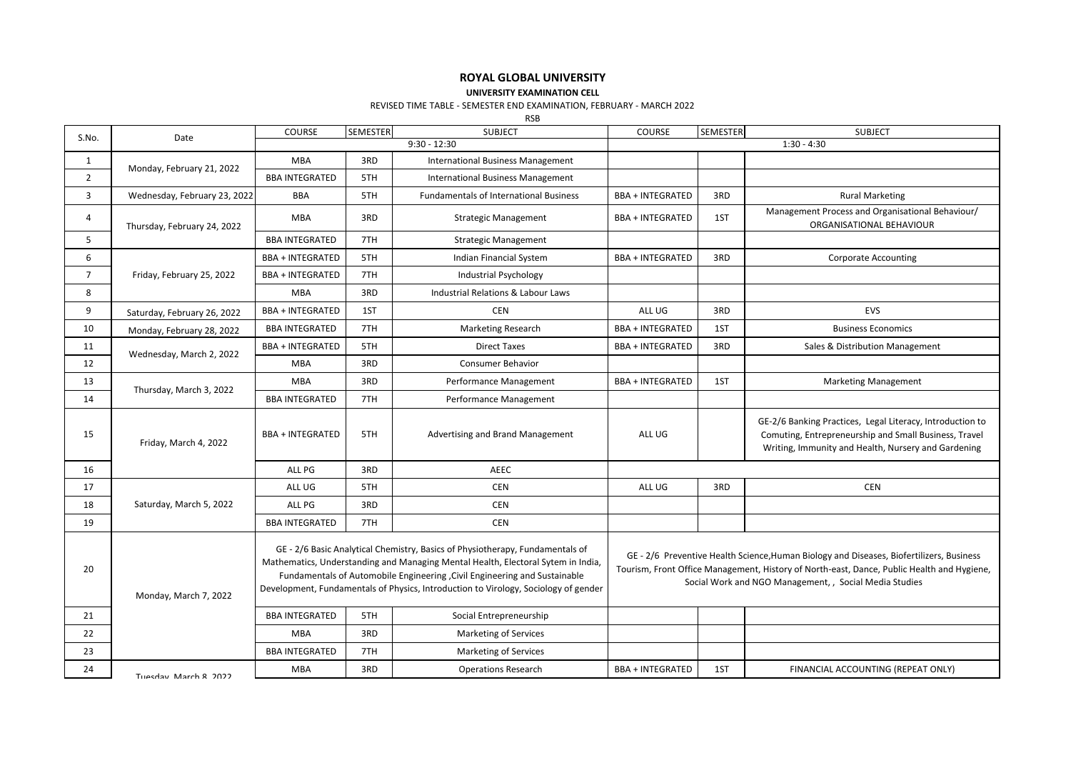## **ROYAL GLOBAL UNIVERSITY**

**UNIVERSITY EXAMINATION CELL**

## REVISED TIME TABLE - SEMESTER END EXAMINATION, FEBRUARY - MARCH 2022

RSB

|                |                              | COURSE                  | SEMESTER                                                                                                                                                                                                                                                                                                                               | <b>SUBJECT</b>                                                                                                                                                                                                                                   | COURSE                  | SEMESTER | <b>SUBJECT</b>                                                                                                                                                            |
|----------------|------------------------------|-------------------------|----------------------------------------------------------------------------------------------------------------------------------------------------------------------------------------------------------------------------------------------------------------------------------------------------------------------------------------|--------------------------------------------------------------------------------------------------------------------------------------------------------------------------------------------------------------------------------------------------|-------------------------|----------|---------------------------------------------------------------------------------------------------------------------------------------------------------------------------|
| S.No.          | Date                         | $9:30 - 12:30$          |                                                                                                                                                                                                                                                                                                                                        |                                                                                                                                                                                                                                                  | $1:30 - 4:30$           |          |                                                                                                                                                                           |
| 1              | Monday, February 21, 2022    | <b>MBA</b>              | 3RD                                                                                                                                                                                                                                                                                                                                    | <b>International Business Management</b>                                                                                                                                                                                                         |                         |          |                                                                                                                                                                           |
| $\overline{2}$ |                              | <b>BBA INTEGRATED</b>   | 5TH                                                                                                                                                                                                                                                                                                                                    | <b>International Business Management</b>                                                                                                                                                                                                         |                         |          |                                                                                                                                                                           |
| 3              | Wednesday, February 23, 2022 | <b>BBA</b>              | 5TH                                                                                                                                                                                                                                                                                                                                    | <b>Fundamentals of International Business</b>                                                                                                                                                                                                    | <b>BBA + INTEGRATED</b> | 3RD      | <b>Rural Marketing</b>                                                                                                                                                    |
| 4              | Thursday, February 24, 2022  | <b>MBA</b>              | 3RD                                                                                                                                                                                                                                                                                                                                    | <b>Strategic Management</b>                                                                                                                                                                                                                      | <b>BBA + INTEGRATED</b> | 1ST      | Management Process and Organisational Behaviour/<br>ORGANISATIONAL BEHAVIOUR                                                                                              |
| 5              |                              | <b>BBA INTEGRATED</b>   | 7TH                                                                                                                                                                                                                                                                                                                                    | <b>Strategic Management</b>                                                                                                                                                                                                                      |                         |          |                                                                                                                                                                           |
| 6              | Friday, February 25, 2022    | <b>BBA + INTEGRATED</b> | 5TH                                                                                                                                                                                                                                                                                                                                    | Indian Financial System                                                                                                                                                                                                                          | <b>BBA + INTEGRATED</b> | 3RD      | <b>Corporate Accounting</b>                                                                                                                                               |
| $7^{\circ}$    |                              | <b>BBA + INTEGRATED</b> | 7TH                                                                                                                                                                                                                                                                                                                                    | <b>Industrial Psychology</b>                                                                                                                                                                                                                     |                         |          |                                                                                                                                                                           |
| 8              |                              | <b>MBA</b>              | 3RD                                                                                                                                                                                                                                                                                                                                    | Industrial Relations & Labour Laws                                                                                                                                                                                                               |                         |          |                                                                                                                                                                           |
| 9              | Saturday, February 26, 2022  | <b>BBA + INTEGRATED</b> | 1ST                                                                                                                                                                                                                                                                                                                                    | <b>CEN</b>                                                                                                                                                                                                                                       | ALL UG                  | 3RD      | EVS                                                                                                                                                                       |
| 10             | Monday, February 28, 2022    | <b>BBA INTEGRATED</b>   | 7TH                                                                                                                                                                                                                                                                                                                                    | <b>Marketing Research</b>                                                                                                                                                                                                                        | <b>BBA + INTEGRATED</b> | 1ST      | <b>Business Economics</b>                                                                                                                                                 |
| 11             | Wednesday, March 2, 2022     | <b>BBA + INTEGRATED</b> | 5TH                                                                                                                                                                                                                                                                                                                                    | <b>Direct Taxes</b>                                                                                                                                                                                                                              | <b>BBA + INTEGRATED</b> | 3RD      | Sales & Distribution Management                                                                                                                                           |
| 12             |                              | <b>MBA</b>              | 3RD                                                                                                                                                                                                                                                                                                                                    | Consumer Behavior                                                                                                                                                                                                                                |                         |          |                                                                                                                                                                           |
| 13             | Thursday, March 3, 2022      | <b>MBA</b>              | 3RD                                                                                                                                                                                                                                                                                                                                    | Performance Management                                                                                                                                                                                                                           | <b>BBA + INTEGRATED</b> | 1ST      | <b>Marketing Management</b>                                                                                                                                               |
| 14             |                              | <b>BBA INTEGRATED</b>   | 7TH                                                                                                                                                                                                                                                                                                                                    | Performance Management                                                                                                                                                                                                                           |                         |          |                                                                                                                                                                           |
| 15             | Friday, March 4, 2022        | <b>BBA + INTEGRATED</b> | 5TH                                                                                                                                                                                                                                                                                                                                    | Advertising and Brand Management                                                                                                                                                                                                                 | ALL UG                  |          | GE-2/6 Banking Practices, Legal Literacy, Introduction to<br>Comuting, Entrepreneurship and Small Business, Travel<br>Writing, Immunity and Health, Nursery and Gardening |
| 16             |                              | ALL PG                  | 3RD                                                                                                                                                                                                                                                                                                                                    | <b>AEEC</b>                                                                                                                                                                                                                                      |                         |          |                                                                                                                                                                           |
| 17             |                              | ALL UG                  | 5TH                                                                                                                                                                                                                                                                                                                                    | <b>CEN</b>                                                                                                                                                                                                                                       | ALL UG                  | 3RD      | <b>CEN</b>                                                                                                                                                                |
| 18             | Saturday, March 5, 2022      | ALL PG                  | 3RD                                                                                                                                                                                                                                                                                                                                    | <b>CEN</b>                                                                                                                                                                                                                                       |                         |          |                                                                                                                                                                           |
| 19             |                              | <b>BBA INTEGRATED</b>   | 7TH                                                                                                                                                                                                                                                                                                                                    | <b>CEN</b>                                                                                                                                                                                                                                       |                         |          |                                                                                                                                                                           |
| 20             | Monday, March 7, 2022        |                         | GE - 2/6 Basic Analytical Chemistry, Basics of Physiotherapy, Fundamentals of<br>Mathematics, Understanding and Managing Mental Health, Electoral Sytem in India,<br>Fundamentals of Automobile Engineering , Civil Engineering and Sustainable<br>Development, Fundamentals of Physics, Introduction to Virology, Sociology of gender | GE - 2/6 Preventive Health Science, Human Biology and Diseases, Biofertilizers, Business<br>Tourism, Front Office Management, History of North-east, Dance, Public Health and Hygiene,<br>Social Work and NGO Management, , Social Media Studies |                         |          |                                                                                                                                                                           |
| 21             |                              | <b>BBA INTEGRATED</b>   | 5TH                                                                                                                                                                                                                                                                                                                                    | Social Entrepreneurship                                                                                                                                                                                                                          |                         |          |                                                                                                                                                                           |
| 22             |                              | <b>MBA</b>              | 3RD                                                                                                                                                                                                                                                                                                                                    | <b>Marketing of Services</b>                                                                                                                                                                                                                     |                         |          |                                                                                                                                                                           |
| 23             |                              | <b>BBA INTEGRATED</b>   | 7TH                                                                                                                                                                                                                                                                                                                                    | <b>Marketing of Services</b>                                                                                                                                                                                                                     |                         |          |                                                                                                                                                                           |
| 24             | Tuesday March & 2022         | <b>MBA</b>              | 3RD                                                                                                                                                                                                                                                                                                                                    | <b>Operations Research</b>                                                                                                                                                                                                                       | <b>BBA + INTEGRATED</b> | 1ST      | FINANCIAL ACCOUNTING (REPEAT ONLY)                                                                                                                                        |